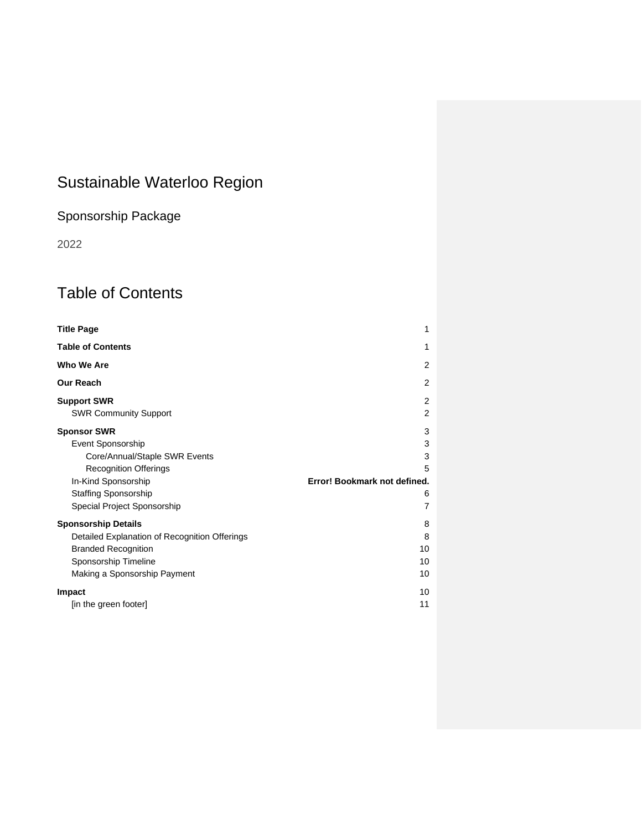# <span id="page-0-0"></span>Sustainable Waterloo Region

# Sponsorship Package

2022

# <span id="page-0-1"></span>Table of Contents

| <b>Title Page</b>                             | 1                            |
|-----------------------------------------------|------------------------------|
| <b>Table of Contents</b>                      | 1                            |
| Who We Are                                    | 2                            |
| <b>Our Reach</b>                              | $\overline{2}$               |
| <b>Support SWR</b>                            | 2                            |
| <b>SWR Community Support</b>                  | 2                            |
| <b>Sponsor SWR</b>                            | 3                            |
| Event Sponsorship                             | 3                            |
| Core/Annual/Staple SWR Events                 | 3                            |
| <b>Recognition Offerings</b>                  | 5                            |
| In-Kind Sponsorship                           | Error! Bookmark not defined. |
| <b>Staffing Sponsorship</b>                   | 6                            |
| Special Project Sponsorship                   | 7                            |
| <b>Sponsorship Details</b>                    | 8                            |
| Detailed Explanation of Recognition Offerings | 8                            |
| <b>Branded Recognition</b>                    | 10                           |
| Sponsorship Timeline                          | 10                           |
| Making a Sponsorship Payment                  | 10                           |
| Impact                                        | 10                           |
| [in the green footer]                         | 11                           |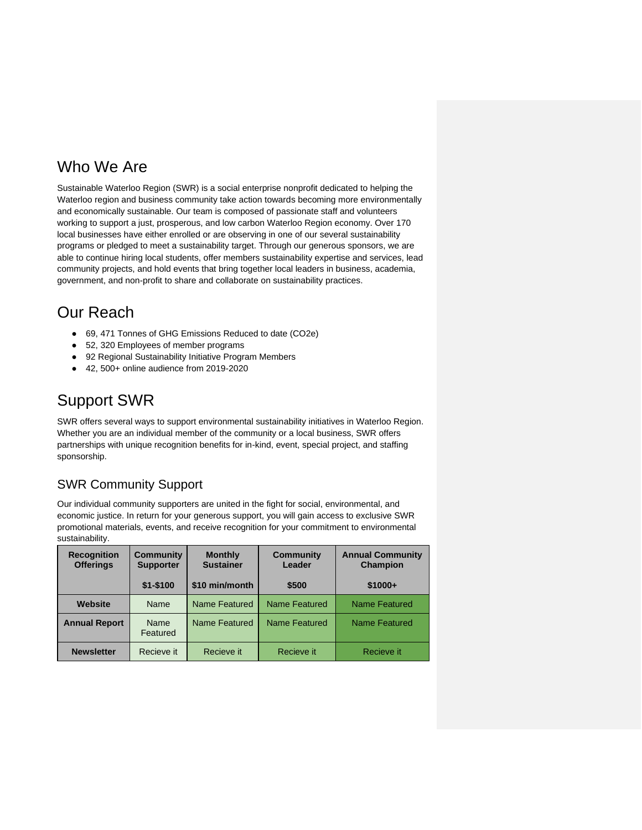## <span id="page-1-0"></span>Who We Are

Sustainable Waterloo Region (SWR) is a social enterprise nonprofit dedicated to helping the Waterloo region and business community take action towards becoming more environmentally and economically sustainable. Our team is composed of passionate staff and volunteers working to support a just, prosperous, and low carbon Waterloo Region economy. Over 170 local businesses have either enrolled or are observing in one of our several sustainability programs or pledged to meet a sustainability target. Through our generous sponsors, we are able to continue hiring local students, offer members sustainability expertise and services, lead community projects, and hold events that bring together local leaders in business, academia, government, and non-profit to share and collaborate on sustainability practices.

# <span id="page-1-1"></span>Our Reach

- 69, 471 Tonnes of GHG Emissions Reduced to date (CO2e)
- 52, 320 Employees of member programs
- 92 Regional Sustainability Initiative Program Members
- 42, 500+ online audience from 2019-2020

# <span id="page-1-2"></span>Support SWR

SWR offers several ways to support environmental sustainability initiatives in Waterloo Region. Whether you are an individual member of the community or a local business, SWR offers partnerships with unique recognition benefits for in-kind, event, special project, and staffing sponsorship.

## <span id="page-1-3"></span>SWR Community Support

Our individual community supporters are united in the fight for social, environmental, and economic justice. In return for your generous support, you will gain access to exclusive SWR promotional materials, events, and receive recognition for your commitment to environmental sustainability.

| <b>Recognition</b><br><b>Offerings</b> | <b>Community</b><br><b>Supporter</b> | <b>Monthly</b><br><b>Sustainer</b> | <b>Community</b><br>Leader | <b>Annual Community</b><br><b>Champion</b> |
|----------------------------------------|--------------------------------------|------------------------------------|----------------------------|--------------------------------------------|
|                                        | $$1 - $100$                          | \$10 min/month                     | \$500                      | $$1000+$                                   |
| Website                                | Name                                 | Name Featured                      | Name Featured              | Name Featured                              |
| <b>Annual Report</b>                   | Name<br>Featured                     | Name Featured                      | Name Featured              | Name Featured                              |
| <b>Newsletter</b>                      | Recieve it                           | Recieve it                         | Recieve it                 | Recieve it                                 |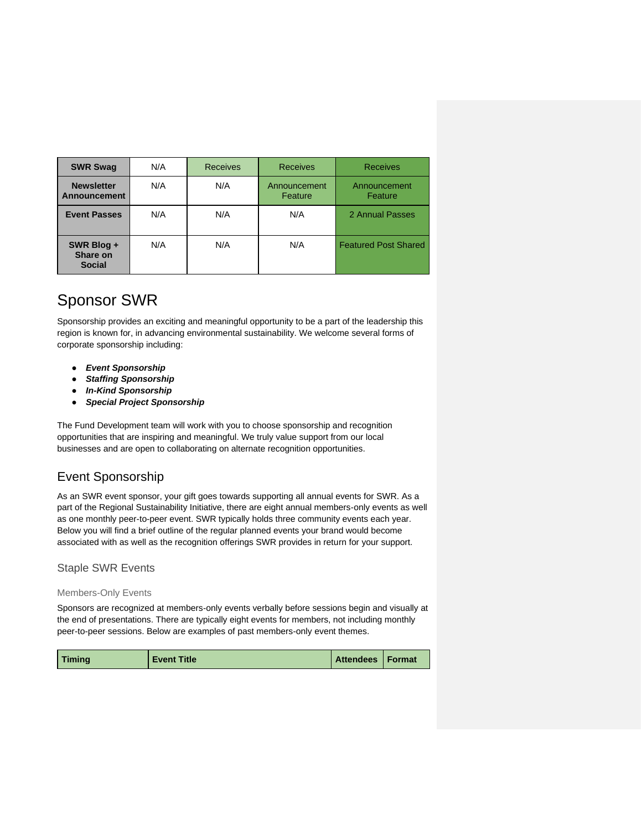| <b>SWR Swag</b>                         | N/A | <b>Receives</b> | <b>Receives</b>         | <b>Receives</b>             |
|-----------------------------------------|-----|-----------------|-------------------------|-----------------------------|
| <b>Newsletter</b><br>Announcement       | N/A | N/A             | Announcement<br>Feature | Announcement<br>Feature     |
| <b>Event Passes</b>                     | N/A | N/A             | N/A                     | 2 Annual Passes             |
| SWR Blog +<br>Share on<br><b>Social</b> | N/A | N/A             | N/A                     | <b>Featured Post Shared</b> |

# <span id="page-2-0"></span>Sponsor SWR

Sponsorship provides an exciting and meaningful opportunity to be a part of the leadership this region is known for, in advancing environmental sustainability. We welcome several forms of corporate sponsorship including:

- *Event Sponsorship*
- **Staffing Sponsorship**
- *In-Kind Sponsorship*
- *Special Project Sponsorship*

The Fund Development team will work with you to choose sponsorship and recognition opportunities that are inspiring and meaningful. We truly value support from our local businesses and are open to collaborating on alternate recognition opportunities.

## <span id="page-2-1"></span>Event Sponsorship

As an SWR event sponsor, your gift goes towards supporting all annual events for SWR. As a part of the Regional Sustainability Initiative, there are eight annual members-only events as well as one monthly peer-to-peer event. SWR typically holds three community events each year. Below you will find a brief outline of the regular planned events your brand would become associated with as well as the recognition offerings SWR provides in return for your support.

### <span id="page-2-2"></span>Staple SWR Events

### Members-Only Events

Sponsors are recognized at members-only events verbally before sessions begin and visually at the end of presentations. There are typically eight events for members, not including monthly peer-to-peer sessions. Below are examples of past members-only event themes.

|--|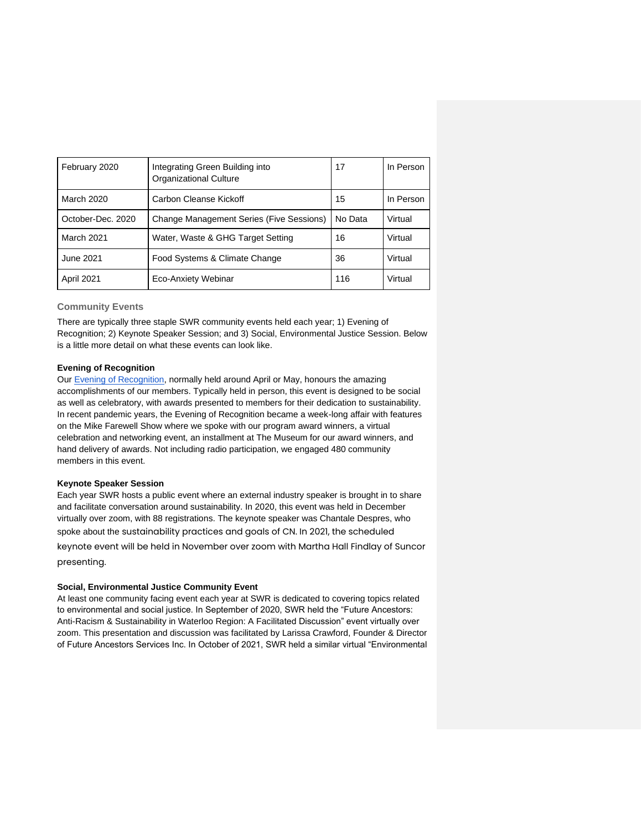| February 2020     | Integrating Green Building into<br><b>Organizational Culture</b> | 17      | In Person |
|-------------------|------------------------------------------------------------------|---------|-----------|
| March 2020        | Carbon Cleanse Kickoff                                           | 15      | In Person |
| October-Dec. 2020 | Change Management Series (Five Sessions)                         | No Data | Virtual   |
| March 2021        | Water, Waste & GHG Target Setting                                | 16      | Virtual   |
| June 2021         | Food Systems & Climate Change                                    | 36      | Virtual   |
| April 2021        | Eco-Anxiety Webinar                                              | 116     | Virtual   |

#### **Community Events**

There are typically three staple SWR community events held each year; 1) Evening of Recognition; 2) Keynote Speaker Session; and 3) Social, Environmental Justice Session. Below is a little more detail on what these events can look like.

#### **Evening of Recognition**

Our [Evening of Recognition,](https://www.sustainablewaterlooregion.ca/our-annual-report-evening-of-recognition/) normally held around April or May, honours the amazing accomplishments of our members. Typically held in person, this event is designed to be social as well as celebratory, with awards presented to members for their dedication to sustainability. In recent pandemic years, the Evening of Recognition became a week-long affair with features on the Mike Farewell Show where we spoke with our program award winners, a virtual celebration and networking event, an installment at The Museum for our award winners, and hand delivery of awards. Not including radio participation, we engaged 480 community members in this event.

#### **Keynote Speaker Session**

Each year SWR hosts a public event where an external industry speaker is brought in to share and facilitate conversation around sustainability. In 2020, this event was held in December virtually over zoom, with 88 registrations. The keynote speaker was Chantale Despres, who spoke about the sustainability practices and goals of CN. In 2021, the scheduled keynote event will be held in November over zoom with Martha Hall Findlay of Suncor

presenting.

#### **Social, Environmental Justice Community Event**

At least one community facing event each year at SWR is dedicated to covering topics related to environmental and social justice. In September of 2020, SWR held the "Future Ancestors: Anti-Racism & Sustainability in Waterloo Region: A Facilitated Discussion" event virtually over zoom. This presentation and discussion was facilitated by Larissa Crawford, Founder & Director of Future Ancestors Services Inc. In October of 2021, SWR held a similar virtual "Environmental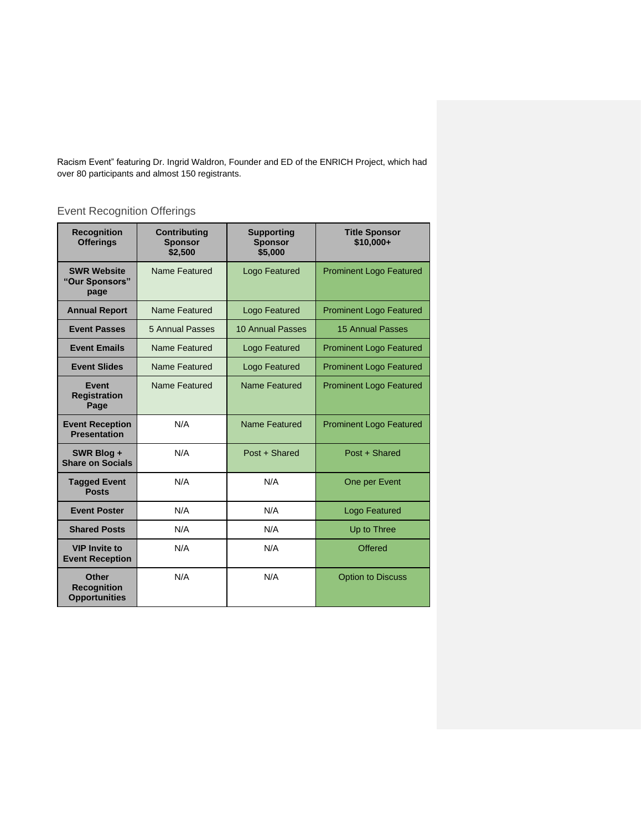Racism Event" featuring Dr. Ingrid Waldron, Founder and ED of the ENRICH Project, which had over 80 participants and almost 150 registrants.

## <span id="page-4-0"></span>Event Recognition Offerings

| <b>Recognition</b><br><b>Offerings</b>              | <b>Contributing</b><br><b>Sponsor</b><br>\$2,500 | <b>Supporting</b><br><b>Sponsor</b><br>\$5,000 | <b>Title Sponsor</b><br>$$10.000+$ |
|-----------------------------------------------------|--------------------------------------------------|------------------------------------------------|------------------------------------|
| <b>SWR Website</b><br>"Our Sponsors"<br>page        | Name Featured                                    | Logo Featured                                  | <b>Prominent Logo Featured</b>     |
| <b>Annual Report</b>                                | Name Featured                                    | Logo Featured                                  | <b>Prominent Logo Featured</b>     |
| <b>Event Passes</b>                                 | 5 Annual Passes                                  | 10 Annual Passes                               | <b>15 Annual Passes</b>            |
| <b>Event Emails</b>                                 | Name Featured                                    | Logo Featured                                  | <b>Prominent Logo Featured</b>     |
| <b>Event Slides</b>                                 | Name Featured                                    | <b>Logo Featured</b>                           | <b>Prominent Logo Featured</b>     |
| Event<br><b>Registration</b><br>Page                | Name Featured                                    | Name Featured                                  | <b>Prominent Logo Featured</b>     |
| <b>Event Reception</b><br><b>Presentation</b>       | N/A                                              | Name Featured                                  | <b>Prominent Logo Featured</b>     |
| SWR Blog +<br><b>Share on Socials</b>               | N/A                                              | Post + Shared                                  | Post + Shared                      |
| <b>Tagged Event</b><br><b>Posts</b>                 | N/A                                              | N/A                                            | One per Event                      |
| <b>Event Poster</b>                                 | N/A                                              | N/A                                            | <b>Logo Featured</b>               |
| <b>Shared Posts</b>                                 | N/A                                              | N/A                                            | Up to Three                        |
| <b>VIP Invite to</b><br><b>Event Reception</b>      | N/A                                              | N/A                                            | <b>Offered</b>                     |
| Other<br><b>Recognition</b><br><b>Opportunities</b> | N/A                                              | N/A                                            | <b>Option to Discuss</b>           |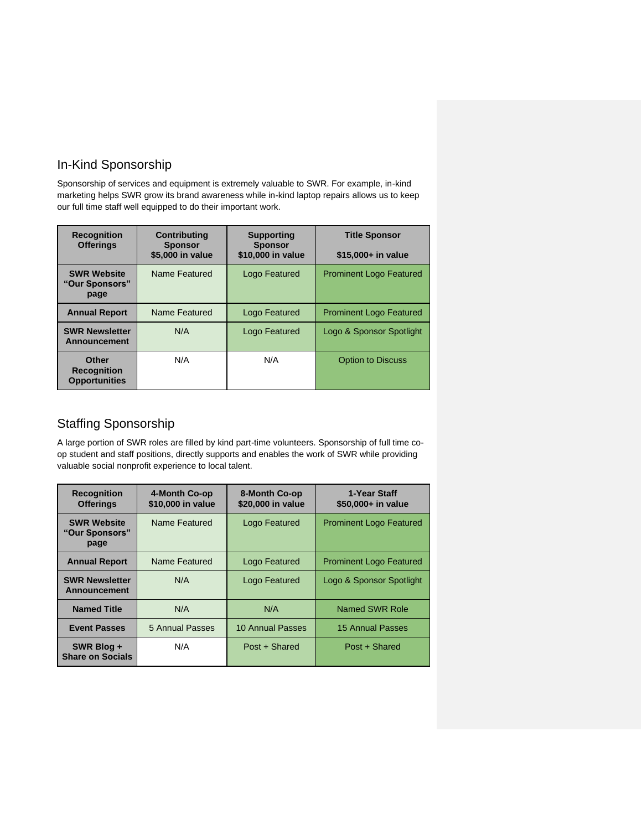## In-Kind Sponsorship

Sponsorship of services and equipment is extremely valuable to SWR. For example, in-kind marketing helps SWR grow its brand awareness while in-kind laptop repairs allows us to keep our full time staff well equipped to do their important work.

| <b>Recognition</b><br><b>Offerings</b>              | <b>Contributing</b><br><b>Sponsor</b> | <b>Supporting</b><br><b>Sponsor</b> | <b>Title Sponsor</b>           |
|-----------------------------------------------------|---------------------------------------|-------------------------------------|--------------------------------|
|                                                     | \$5,000 in value                      | \$10,000 in value                   | \$15,000+ in value             |
| <b>SWR Website</b><br>"Our Sponsors"<br>page        | Name Featured                         | Logo Featured                       | <b>Prominent Logo Featured</b> |
| <b>Annual Report</b>                                | Name Featured                         | Logo Featured                       | <b>Prominent Logo Featured</b> |
| <b>SWR Newsletter</b><br><b>Announcement</b>        | N/A                                   | Logo Featured                       | Logo & Sponsor Spotlight       |
| Other<br><b>Recognition</b><br><b>Opportunities</b> | N/A                                   | N/A                                 | <b>Option to Discuss</b>       |

## <span id="page-5-0"></span>Staffing Sponsorship

A large portion of SWR roles are filled by kind part-time volunteers. Sponsorship of full time coop student and staff positions, directly supports and enables the work of SWR while providing valuable social nonprofit experience to local talent.

| <b>Recognition</b><br><b>Offerings</b>       | 4-Month Co-op<br>\$10,000 in value | 8-Month Co-op<br>\$20,000 in value | 1-Year Staff<br>\$50,000+ in value |
|----------------------------------------------|------------------------------------|------------------------------------|------------------------------------|
| <b>SWR Website</b><br>"Our Sponsors"<br>page | Name Featured                      | Logo Featured                      | <b>Prominent Logo Featured</b>     |
| <b>Annual Report</b>                         | Name Featured                      | Logo Featured                      | <b>Prominent Logo Featured</b>     |
| <b>SWR Newsletter</b><br><b>Announcement</b> | N/A                                | Logo Featured                      | Logo & Sponsor Spotlight           |
| <b>Named Title</b>                           | N/A                                | N/A                                | Named SWR Role                     |
| <b>Event Passes</b>                          | 5 Annual Passes                    | 10 Annual Passes                   | 15 Annual Passes                   |
| SWR Blog +<br><b>Share on Socials</b>        | N/A                                | Post + Shared                      | Post + Shared                      |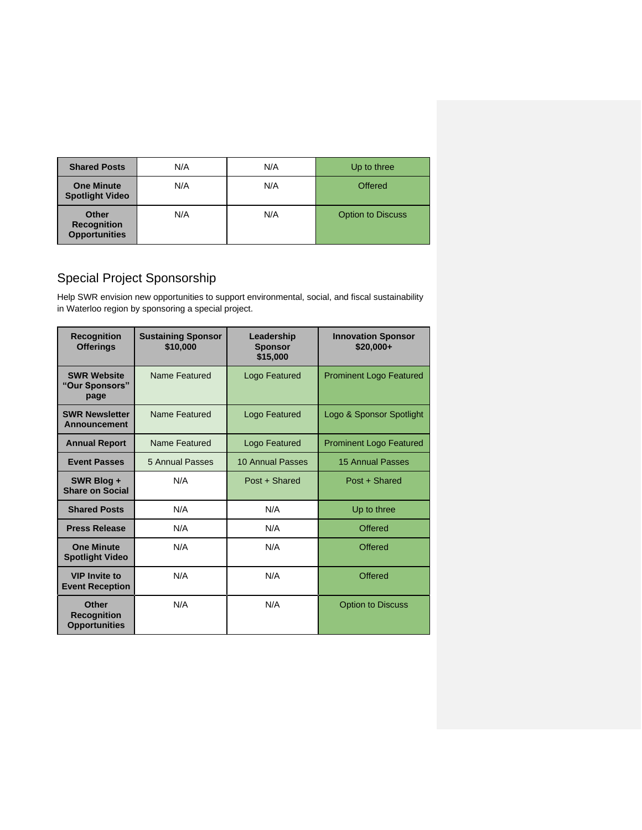| <b>Shared Posts</b>                                 | N/A | N/A | Up to three              |
|-----------------------------------------------------|-----|-----|--------------------------|
| <b>One Minute</b><br><b>Spotlight Video</b>         | N/A | N/A | Offered                  |
| Other<br><b>Recognition</b><br><b>Opportunities</b> | N/A | N/A | <b>Option to Discuss</b> |

## <span id="page-6-0"></span>Special Project Sponsorship

 $\overline{a}$ 

Help SWR envision new opportunities to support environmental, social, and fiscal sustainability in Waterloo region by sponsoring a special project.

| <b>Recognition</b><br><b>Offerings</b>              | <b>Sustaining Sponsor</b><br>\$10,000 | Leadership<br><b>Sponsor</b><br>\$15,000 | <b>Innovation Sponsor</b><br>\$20,000+ |
|-----------------------------------------------------|---------------------------------------|------------------------------------------|----------------------------------------|
| <b>SWR Website</b><br>"Our Sponsors"<br>page        | Name Featured                         | Logo Featured                            | <b>Prominent Logo Featured</b>         |
| <b>SWR Newsletter</b><br>Announcement               | Name Featured                         | Logo Featured                            | Logo & Sponsor Spotlight               |
| <b>Annual Report</b>                                | Name Featured                         | <b>Logo Featured</b>                     | <b>Prominent Logo Featured</b>         |
| <b>Event Passes</b>                                 | 5 Annual Passes                       | 10 Annual Passes                         | <b>15 Annual Passes</b>                |
| SWR Blog +<br><b>Share on Social</b>                | N/A                                   | Post + Shared                            | Post + Shared                          |
| <b>Shared Posts</b>                                 | N/A                                   | N/A                                      | Up to three                            |
| <b>Press Release</b>                                | N/A                                   | N/A                                      | Offered                                |
| <b>One Minute</b><br><b>Spotlight Video</b>         | N/A                                   | N/A                                      | Offered                                |
| <b>VIP Invite to</b><br><b>Event Reception</b>      | N/A                                   | N/A                                      | Offered                                |
| Other<br><b>Recognition</b><br><b>Opportunities</b> | N/A                                   | N/A                                      | <b>Option to Discuss</b>               |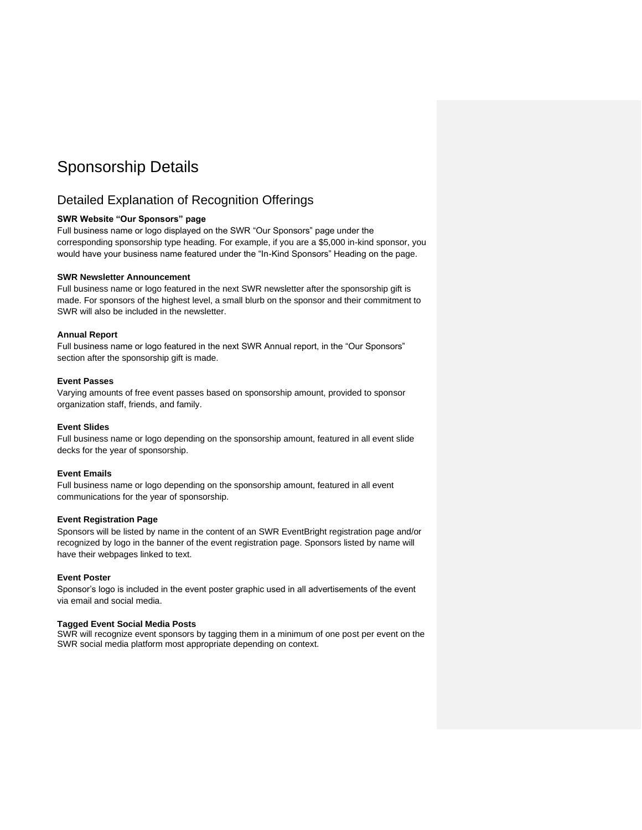## <span id="page-7-0"></span>Sponsorship Details

### <span id="page-7-1"></span>Detailed Explanation of Recognition Offerings

#### **SWR Website "Our Sponsors" page**

Full business name or logo displayed on the SWR "Our Sponsors" page under the corresponding sponsorship type heading. For example, if you are a \$5,000 in-kind sponsor, you would have your business name featured under the "In-Kind Sponsors" Heading on the page.

#### **SWR Newsletter Announcement**

Full business name or logo featured in the next SWR newsletter after the sponsorship gift is made. For sponsors of the highest level, a small blurb on the sponsor and their commitment to SWR will also be included in the newsletter.

#### **Annual Report**

Full business name or logo featured in the next SWR Annual report, in the "Our Sponsors" section after the sponsorship gift is made.

#### **Event Passes**

Varying amounts of free event passes based on sponsorship amount, provided to sponsor organization staff, friends, and family.

#### **Event Slides**

Full business name or logo depending on the sponsorship amount, featured in all event slide decks for the year of sponsorship.

#### **Event Emails**

Full business name or logo depending on the sponsorship amount, featured in all event communications for the year of sponsorship.

#### **Event Registration Page**

Sponsors will be listed by name in the content of an SWR EventBright registration page and/or recognized by logo in the banner of the event registration page. Sponsors listed by name will have their webpages linked to text.

#### **Event Poster**

Sponsor's logo is included in the event poster graphic used in all advertisements of the event via email and social media.

#### **Tagged Event Social Media Posts**

SWR will recognize event sponsors by tagging them in a minimum of one post per event on the SWR social media platform most appropriate depending on context.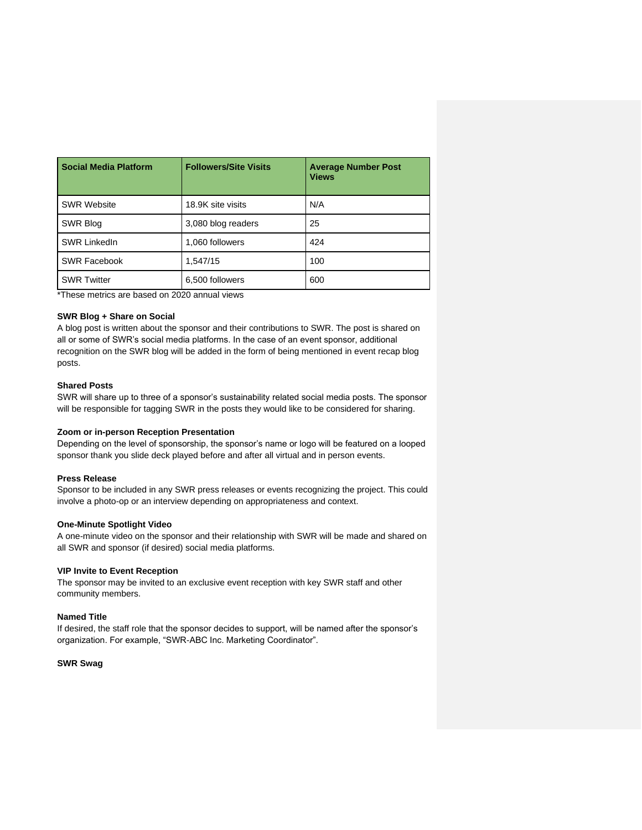| <b>Social Media Platform</b> | <b>Followers/Site Visits</b> | <b>Average Number Post</b><br><b>Views</b> |
|------------------------------|------------------------------|--------------------------------------------|
| <b>SWR Website</b>           | 18.9K site visits            | N/A                                        |
| SWR Blog                     | 3,080 blog readers           | 25                                         |
| <b>SWR LinkedIn</b>          | 1,060 followers              | 424                                        |
| <b>SWR Facebook</b>          | 1,547/15                     | 100                                        |
| <b>SWR Twitter</b>           | 6,500 followers              | 600                                        |

\*These metrics are based on 2020 annual views

#### **SWR Blog + Share on Social**

A blog post is written about the sponsor and their contributions to SWR. The post is shared on all or some of SWR's social media platforms. In the case of an event sponsor, additional recognition on the SWR blog will be added in the form of being mentioned in event recap blog posts.

#### **Shared Posts**

SWR will share up to three of a sponsor's sustainability related social media posts. The sponsor will be responsible for tagging SWR in the posts they would like to be considered for sharing.

#### **Zoom or in-person Reception Presentation**

Depending on the level of sponsorship, the sponsor's name or logo will be featured on a looped sponsor thank you slide deck played before and after all virtual and in person events.

#### **Press Release**

Sponsor to be included in any SWR press releases or events recognizing the project. This could involve a photo-op or an interview depending on appropriateness and context.

#### **One-Minute Spotlight Video**

A one-minute video on the sponsor and their relationship with SWR will be made and shared on all SWR and sponsor (if desired) social media platforms.

#### **VIP Invite to Event Reception**

The sponsor may be invited to an exclusive event reception with key SWR staff and other community members.

#### **Named Title**

If desired, the staff role that the sponsor decides to support, will be named after the sponsor's organization. For example, "SWR-ABC Inc. Marketing Coordinator".

#### **SWR Swag**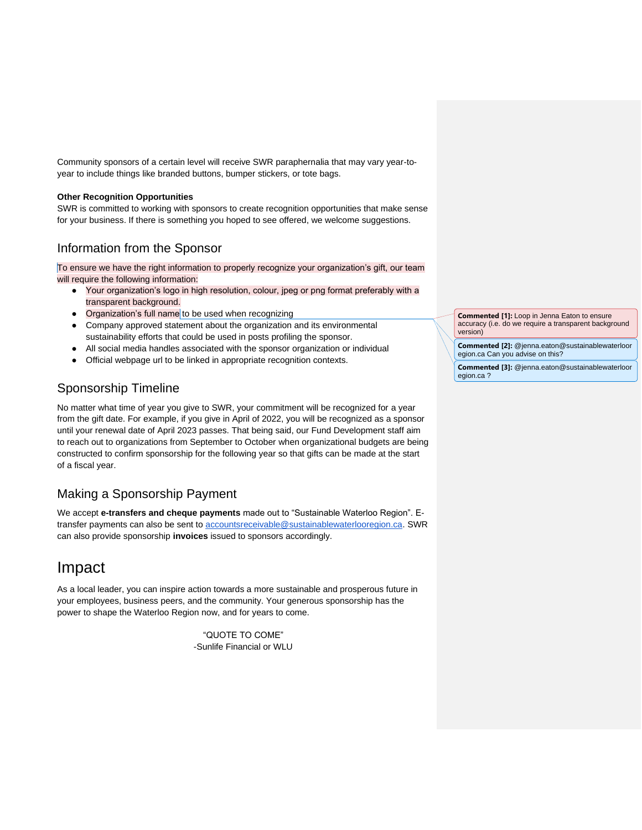Community sponsors of a certain level will receive SWR paraphernalia that may vary year-toyear to include things like branded buttons, bumper stickers, or tote bags.

#### **Other Recognition Opportunities**

SWR is committed to working with sponsors to create recognition opportunities that make sense for your business. If there is something you hoped to see offered, we welcome suggestions.

### <span id="page-9-0"></span>Information from the Sponsor

To ensure we have the right information to properly recognize your organization's gift, our team will require the following information:

- Your organization's logo in high resolution, colour, jpeg or png format preferably with a transparent background.
- Organization's full name to be used when recognizing
- Company approved statement about the organization and its environmental sustainability efforts that could be used in posts profiling the sponsor.
- All social media handles associated with the sponsor organization or individual
- Official webpage url to be linked in appropriate recognition contexts.

## <span id="page-9-1"></span>Sponsorship Timeline

No matter what time of year you give to SWR, your commitment will be recognized for a year from the gift date. For example, if you give in April of 2022, you will be recognized as a sponsor until your renewal date of April 2023 passes. That being said, our Fund Development staff aim to reach out to organizations from September to October when organizational budgets are being constructed to confirm sponsorship for the following year so that gifts can be made at the start of a fiscal year.

### <span id="page-9-2"></span>Making a Sponsorship Payment

We accept **e-transfers and cheque payments** made out to "Sustainable Waterloo Region". Etransfer payments can also be sent to [accountsreceivable@sustainablewaterlooregion.ca.](mailto:accountsreceivable@sustainablewaterlooregion.ca) SWR can also provide sponsorship **invoices** issued to sponsors accordingly.

## <span id="page-9-3"></span>Impact

As a local leader, you can inspire action towards a more sustainable and prosperous future in your employees, business peers, and the community. Your generous sponsorship has the power to shape the Waterloo Region now, and for years to come.

> "QUOTE TO COME" -Sunlife Financial or WLU

**Commented [1]:** Loop in Jenna Eaton to ensure accuracy (i.e. do we require a transparent background version)

**Commented [2]:** @jenna.eaton@sustainablewaterloor egion.ca Can you advise on this?

**Commented [3]:** @jenna.eaton@sustainablewaterloor egion.ca ?